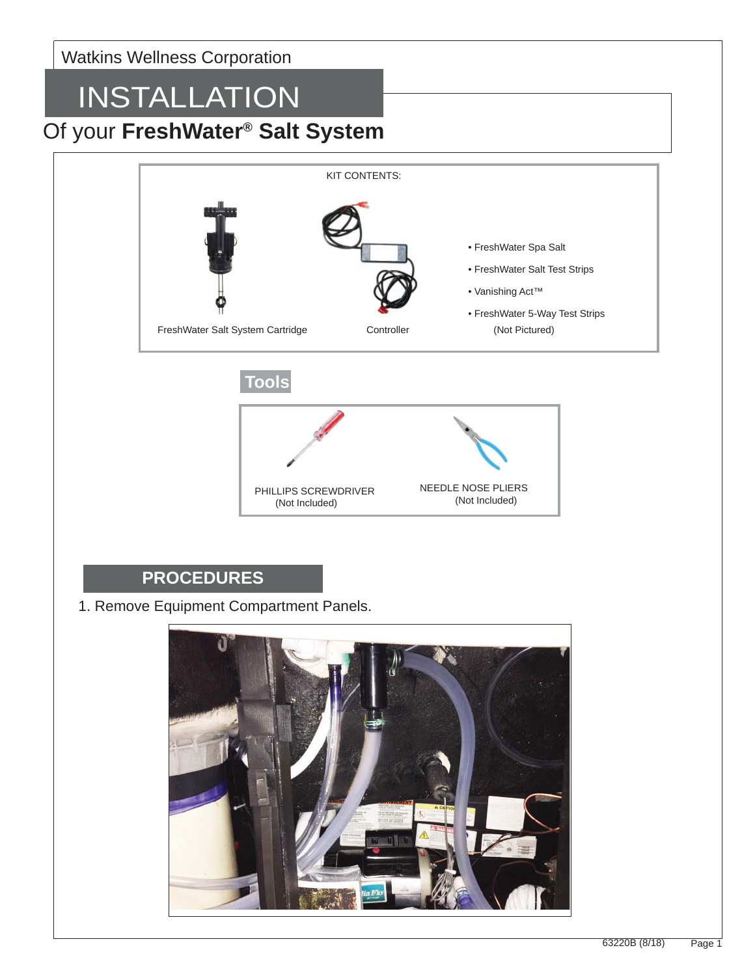#### Watkins Wellness Corporation

# INSTALLATION

### Of your **FreshWater® Salt System**



(Not Included)

(Not Included)

#### **PROCEDURES**

1. Remove Equipment Compartment Panels.

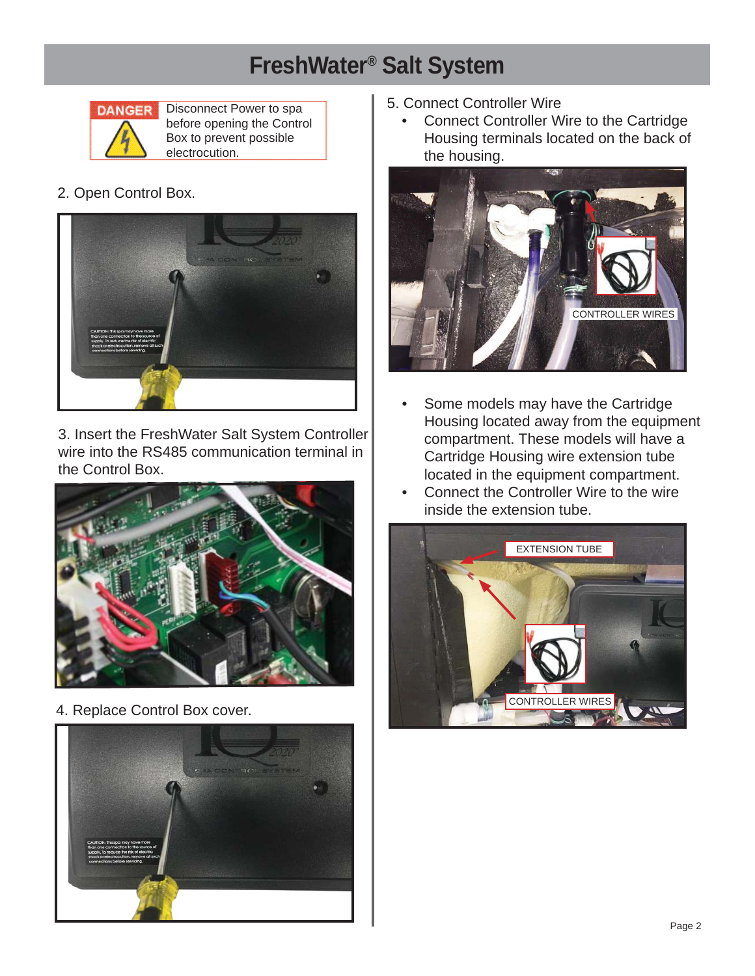## **FreshWater® Salt System**



Disconnect Power to spa before opening the Control Box to prevent possible electrocution.

2. Open Control Box.



3. Insert the FreshWater Salt System Controller wire into the RS485 communication terminal in the Control Box.



4. Replace Control Box cover.



- 5. Connect Controller Wire
	- Connect Controller Wire to the Cartridge Housing terminals located on the back of the housing.



- Some models may have the Cartridge Housing located away from the equipment compartment. These models will have a Cartridge Housing wire extension tube located in the equipment compartment.
- Connect the Controller Wire to the wire inside the extension tube.

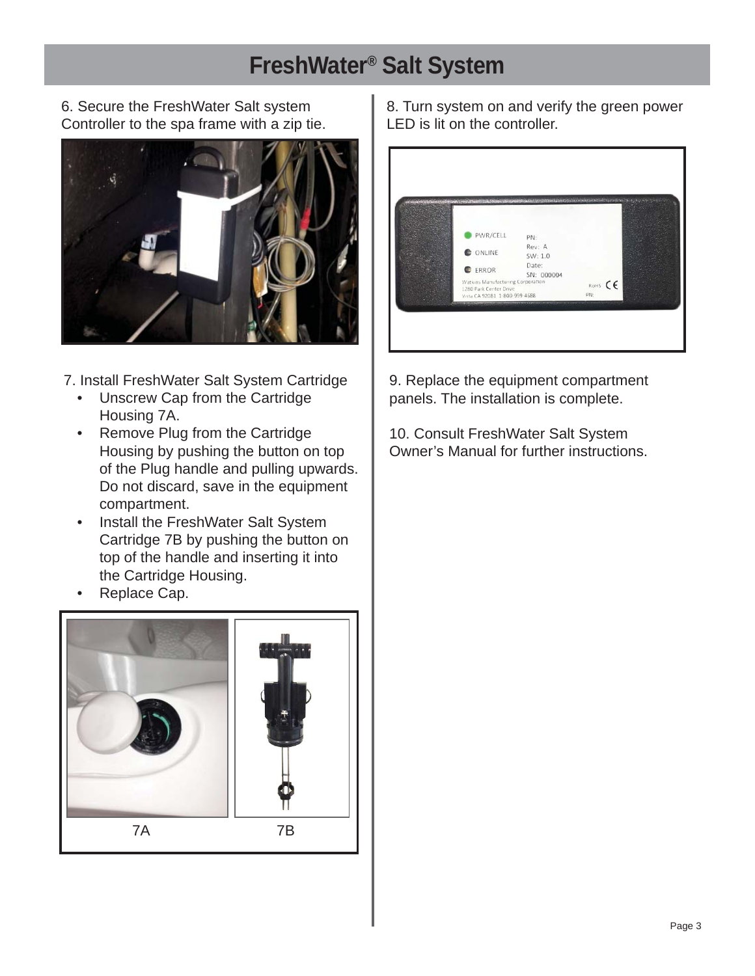### **FreshWater® Salt System**

6. Secure the FreshWater Salt system Controller to the spa frame with a zip tie.



7. Install FreshWater Salt System Cartridge

- Unscrew Cap from the Cartridge Housing 7A.
- Remove Plug from the Cartridge Housing by pushing the button on top of the Plug handle and pulling upwards. Do not discard, save in the equipment compartment.
- Install the FreshWater Salt System Cartridge 7B by pushing the button on top of the handle and inserting it into the Cartridge Housing.
- Replace Cap.



8. Turn system on and verify the green power LED is lit on the controller.

| PWR/CELL                                                                                     | PN:                 |                |  |
|----------------------------------------------------------------------------------------------|---------------------|----------------|--|
| ONLINE                                                                                       | Rev: A<br>SW: 1.0   |                |  |
| ERROR                                                                                        | Date:<br>SN: 000004 |                |  |
| Watkins Manufacturing Corporation<br>1280 Park Center Drive<br>Vista CA 92081 1-800-999-4688 |                     | ROHS CE<br>PN: |  |
|                                                                                              |                     |                |  |

9. Replace the equipment compartment panels. The installation is complete.

10. Consult FreshWater Salt System Owner's Manual for further instructions.